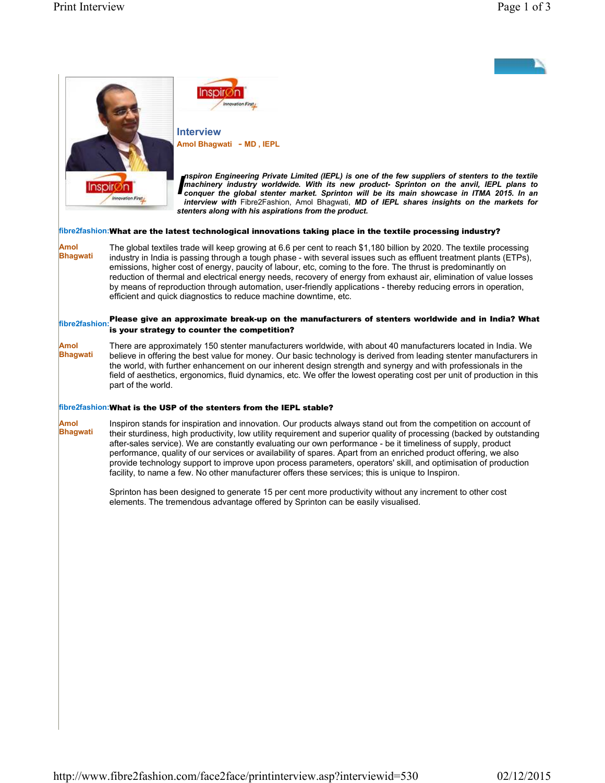



Amol Bhagwati - MD, IEPL

Interview

Inspiron Engineering Private Limited (IEPL) is one of the rew suppliers of stenters to the textile<br>machinery industry worldwide. With its new product- Sprinton on the anvil, IEPL plans to<br>conquer the global stenter market. nspiron Engineering Private Limited (IEPL) is one of the few suppliers of stenters to the textile conquer the global stenter market. Sprinton will be its main showcase in ITMA 2015. In an interview with Fibre2Fashion, Amol Bhagwati, MD of IEPL shares insights on the markets for stenters along with his aspirations from the product.

## fibre2fashion:What are the latest technological innovations taking place in the textile processing industry?

Amol Bhagwati The global textiles trade will keep growing at 6.6 per cent to reach \$1,180 billion by 2020. The textile processing industry in India is passing through a tough phase - with several issues such as effluent treatment plants (ETPs), emissions, higher cost of energy, paucity of labour, etc, coming to the fore. The thrust is predominantly on reduction of thermal and electrical energy needs, recovery of energy from exhaust air, elimination of value losses by means of reproduction through automation, user-friendly applications - thereby reducing errors in operation, efficient and quick diagnostics to reduce machine downtime, etc.

## $\parallel$ <br>fibre2fashion: Please give an approximate break-up on the manufacturers of stenters worldwide and in India? What is your strategy to counter the competition?

Amol Bhagwati There are approximately 150 stenter manufacturers worldwide, with about 40 manufacturers located in India. We believe in offering the best value for money. Our basic technology is derived from leading stenter manufacturers in the world, with further enhancement on our inherent design strength and synergy and with professionals in the field of aesthetics, ergonomics, fluid dynamics, etc. We offer the lowest operating cost per unit of production in this part of the world.

### fibre2fashion:What is the USP of the stenters from the IEPL stable?

Amol **Bhagwati** Inspiron stands for inspiration and innovation. Our products always stand out from the competition on account of their sturdiness, high productivity, low utility requirement and superior quality of processing (backed by outstanding after-sales service). We are constantly evaluating our own performance - be it timeliness of supply, product performance, quality of our services or availability of spares. Apart from an enriched product offering, we also provide technology support to improve upon process parameters, operators' skill, and optimisation of production facility, to name a few. No other manufacturer offers these services; this is unique to Inspiron.

> Sprinton has been designed to generate 15 per cent more productivity without any increment to other cost elements. The tremendous advantage offered by Sprinton can be easily visualised.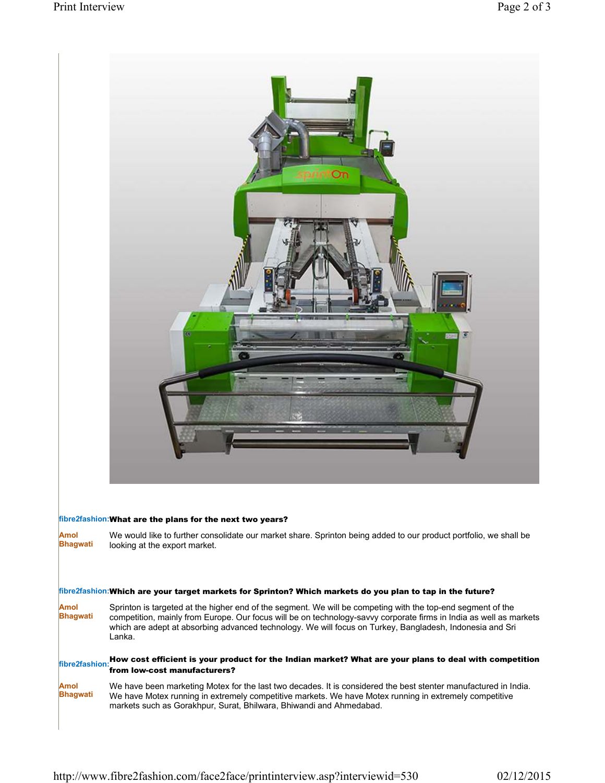

# fibre2fashion:What are the plans for the next two years?

Amol Bhagwati We would like to further consolidate our market share. Sprinton being added to our product portfolio, we shall be looking at the export market.

## fibre2fashion:Which are your target markets for Sprinton? Which markets do you plan to tap in the future?

Amol Bhagwati Sprinton is targeted at the higher end of the segment. We will be competing with the top-end segment of the competition, mainly from Europe. Our focus will be on technology-savvy corporate firms in India as well as markets which are adept at absorbing advanced technology. We will focus on Turkey, Bangladesh, Indonesia and Sri Lanka.

### $\frac{1}{100}$  How cost efficient is your product for the Indian market? What are your plans to deal with competition from low-cost manufacturers?

Amol Bhagwati We have been marketing Motex for the last two decades. It is considered the best stenter manufactured in India. We have Motex running in extremely competitive markets. We have Motex running in extremely competitive markets such as Gorakhpur, Surat, Bhilwara, Bhiwandi and Ahmedabad.